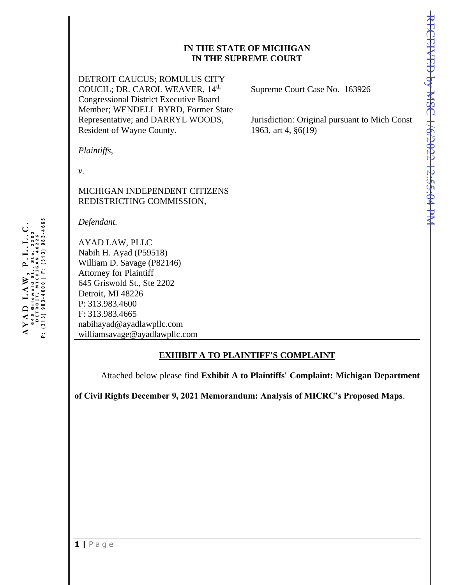## **IN THE STATE OF MICHIGAN IN THE SUPREME COURT**

DETROIT CAUCUS; ROMULUS CITY COUCIL; DR. CAROL WEAVER, 14<sup>th</sup> Congressional District Executive Board Member; WENDELL BYRD, Former State Representative; and DARRYL WOODS, Resident of Wayne County.

Supreme Court Case No. 163926

Jurisdiction: Original pursuant to Mich Const 1963, art 4, §6(19)

*Plaintiffs,*

*v.*

# MICHIGAN INDEPENDENT CITIZENS REDISTRICTING COMMISSION,

*Defendant.*

AYAD LAW, PLLC Nabih H. Ayad (P59518) William D. Savage (P82146) Attorney for Plaintiff 645 Griswold St., Ste 2202 Detroit, MI 48226 P: 313.983.4600 F: 313.983.4665 nabihayad@ayadlawpllc.com williamsavage@ayadlawpllc.com

## **EXHIBIT A TO PLAINTIFF'S COMPLAINT**

Attached below please find **Exhibit A to Plaintiffs' Complaint: Michigan Department** 

**of Civil Rights December 9, 2021 Memorandum: Analysis of MICRC's Proposed Maps**.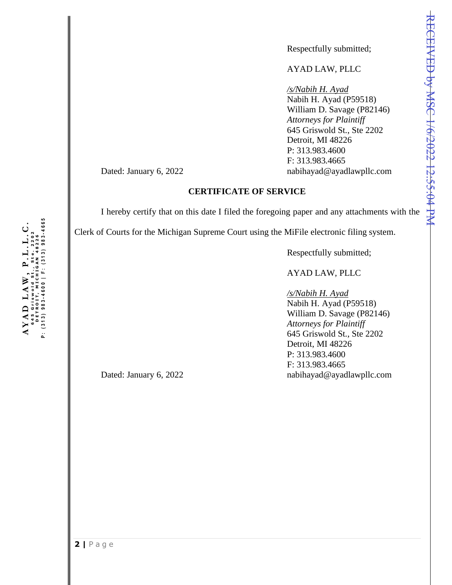Respectfully submitted;

### AYAD LAW, PLLC

*/s/Nabih H. Ayad* Nabih H. Ayad (P59518) William D. Savage (P82146) *Attorneys for Plaintiff* 645 Griswold St., Ste 2202 Detroit, MI 48226 P: 313.983.4600 F: 313.983.4665 Dated: January 6, 2022 habihayad@ayadlawpllc.com

#### **CERTIFICATE OF SERVICE**

I hereby certify that on this date I filed the foregoing paper and any attachments with the

Clerk of Courts for the Michigan Supreme Court using the MiFile electronic filing system.

Respectfully submitted;

# AYAD LAW, PLLC

*/s/Nabih H. Ayad* Nabih H. Ayad (P59518) William D. Savage (P82146) *Attorneys for Plaintiff* 645 Griswold St., Ste 2202 Detroit, MI 48226 P: 313.983.4600 F: 313.983.4665 Dated: January 6, 2022 nabihayad@ayadlawpllc.com

P: (313)983-4600 | F: (313)983-4665 **AY AD**  $LA$ **W**,  $PL$ ,  $L$ ,  $L$ ,  $C$ .<br>**645** Griswold St., Ste. 2202 645 Griswold St., Ste. 2202<br>DETROIT, MICHIGAN 48226<br>P: (313) 983-4600 | F: (313) 983-4665 645 Griswold Ste. 2202 DETROIT, MIGAN 48226  $\frac{1}{2}$ **ANAD LAW**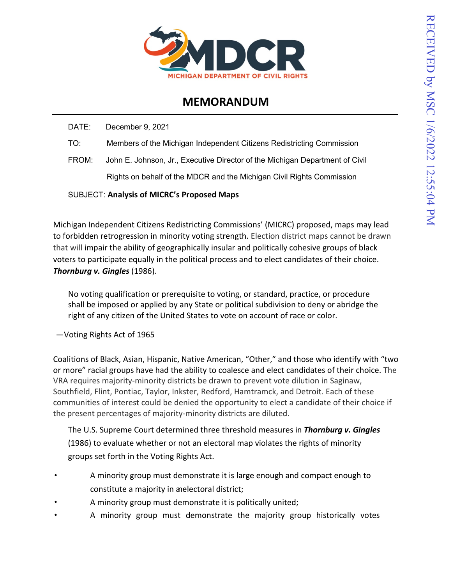

# **MEMORANDUM**

DATE: December 9, 2021

- TO: Members of the Michigan Independent Citizens Redistricting Commission
- FROM: John E. Johnson, Jr., Executive Director of the Michigan Department of Civil Rights on behalf of the MDCR and the Michigan Civil Rights Commission

# SUBJECT: **Analysis of MICRC's Proposed Maps**

Michigan Independent Citizens Redistricting Commissions' (MICRC) proposed, maps may lead to forbidden retrogression in minority voting strength. Election district maps cannot be drawn that will impair the ability of geographically insular and politically cohesive groups of black voters to participate equally in the political process and to elect candidates of their choice. *Thornburg v. Gingles* (1986).

No voting qualification or prerequisite to voting, or standard, practice, or procedure shall be imposed or applied by any State or political subdivision to deny or abridge the right of any citizen of the United States to vote on account of race or color.

—Voting Rights Act of 1965

Coalitions of Black, Asian, Hispanic, Native American, "Other," and those who identify with "two or more" racial groups have had the ability to coalesce and elect candidates of their choice. The VRA requires majority-minority districts be drawn to prevent vote dilution in Saginaw, Southfield, Flint, Pontiac, Taylor, Inkster, Redford, Hamtramck, and Detroit. Each of these communities of interest could be denied the opportunity to elect a candidate of their choice if the present percentages of majority-minority districts are diluted.

The U.S. Supreme Court determined three threshold measures in *Thornburg v. Gingles* (1986) to evaluate whether or not an electoral map violates the rights of minority groups set forth in the Voting Rights Act.

- A minority group must demonstrate it is large enough and compact enough to constitute a majority in anelectoral district;
- A minority group must demonstrate it is politically united;
- A minority group must demonstrate the majority group historically votes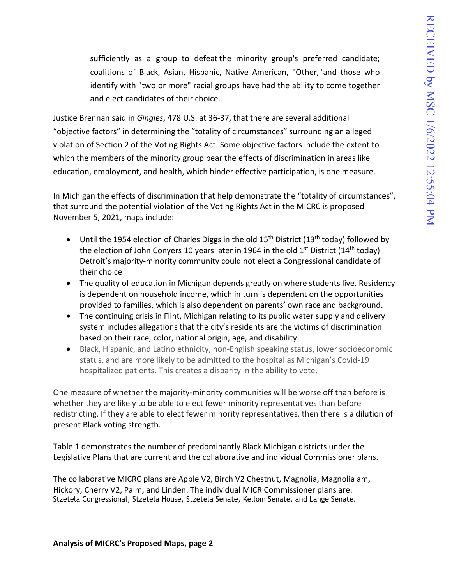sufficiently as a group to defeat the minority group's preferred candidate; coalitions of Black, Asian, Hispanic, Native American, "Other,"and those who identify with "two or more" racial groups have had the ability to come together and elect candidates of their choice.

Justice Brennan said in *Gingles*, 478 U.S. at 36-37, that there are several additional "objective factors" in determining the "totality of circumstances" surrounding an alleged violation of Section 2 of the Voting Rights Act. Some objective factors include the extent to which the members of the minority group bear the effects of discrimination in areas like education, employment, and health, which hinder effective participation, is one measure.

In Michigan the effects of discrimination that help demonstrate the "totality of circumstances", that surround the potential violation of the Voting Rights Act in the MICRC is proposed November 5, 2021, maps include:

- Until the 1954 election of Charles Diggs in the old 15<sup>th</sup> District (13<sup>th</sup> today) followed by the election of John Conyers 10 years later in 1964 in the old  $1<sup>st</sup>$  District (14<sup>th</sup> today) Detroit's majority-minority community could not elect a Congressional candidate of their choice
- The quality of education in Michigan depends greatly on where students live. Residency is dependent on household income, which in turn is dependent on the opportunities provided to families, which is also dependent on parents' own race and background.
- The continuing crisis in Flint, Michigan relating to its public water supply and delivery system includes allegations that the city's residents are the victims of discrimination based on their race, color, national origin, age, and disability.
- Black, Hispanic, and Latino ethnicity, non-English speaking status, lower socioeconomic status, and are more likely to be admitted to the hospital as Michigan's Covid-19 hospitalized patients. This creates a disparity in the ability to vote**.**

One measure of whether the majority-minority communities will be worse off than before is whether they are likely to be able to elect fewer minority representatives than before redistricting. If they are able to elect fewer minority representatives, then there is a dilution of present Black voting strength.

Table 1 demonstrates the number of predominantly Black Michigan districts under the Legislative Plans that are current and the collaborative and individual Commissioner plans.

The collaborative MICRC plans are Apple V2, Birch V2 Chestnut, Magnolia, Magnolia am, Hickory, Cherry V2, Palm, and Linden. The individual MICR Commissioner plans are: Stzetela Congressional, Stzetela House, Stzetela Senate, Kellom Senate, and Lange Senate.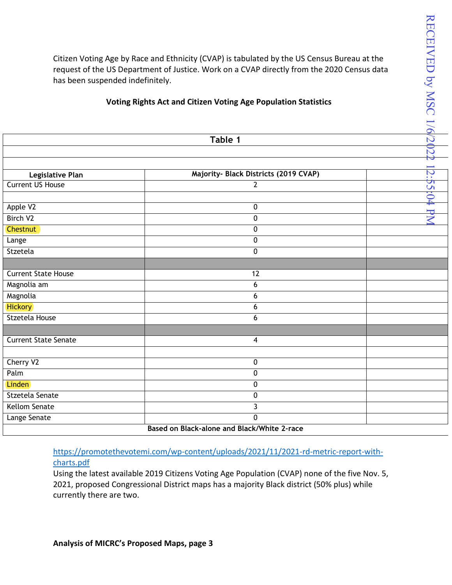## **Voting Rights Act and Citizen Voting Age Population Statistics**

| Citizen Voting Age by Race and Ethnicity (CVAP) is tabulated by the US Census Bureau at the<br>request of the US Department of Justice. Work on a CVAP directly from the 2020 Census data<br>has been suspended indefinitely.<br><b>Voting Rights Act and Citizen Voting Age Population Statistics</b><br>Table 1 |                                             | RECEIVED by MSC 1/6/2022 |
|-------------------------------------------------------------------------------------------------------------------------------------------------------------------------------------------------------------------------------------------------------------------------------------------------------------------|---------------------------------------------|--------------------------|
|                                                                                                                                                                                                                                                                                                                   |                                             |                          |
|                                                                                                                                                                                                                                                                                                                   |                                             |                          |
|                                                                                                                                                                                                                                                                                                                   |                                             |                          |
| Legislative Plan                                                                                                                                                                                                                                                                                                  | Majority- Black Districts (2019 CVAP)       |                          |
| <b>Current US House</b>                                                                                                                                                                                                                                                                                           | $\overline{2}$                              |                          |
|                                                                                                                                                                                                                                                                                                                   |                                             |                          |
| Apple V2                                                                                                                                                                                                                                                                                                          | 0                                           | 2:55:04 PN               |
| Birch V <sub>2</sub>                                                                                                                                                                                                                                                                                              | 0                                           |                          |
| <b>Chestnut</b>                                                                                                                                                                                                                                                                                                   | $\pmb{0}$                                   |                          |
| Lange                                                                                                                                                                                                                                                                                                             | 0                                           |                          |
| Stzetela                                                                                                                                                                                                                                                                                                          | $\pmb{0}$                                   |                          |
|                                                                                                                                                                                                                                                                                                                   |                                             |                          |
| <b>Current State House</b>                                                                                                                                                                                                                                                                                        | 12                                          |                          |
| Magnolia am                                                                                                                                                                                                                                                                                                       | 6                                           |                          |
| Magnolia                                                                                                                                                                                                                                                                                                          | 6                                           |                          |
| <b>Hickory</b>                                                                                                                                                                                                                                                                                                    | 6                                           |                          |
| Stzetela House                                                                                                                                                                                                                                                                                                    | 6                                           |                          |
|                                                                                                                                                                                                                                                                                                                   |                                             |                          |
| <b>Current State Senate</b>                                                                                                                                                                                                                                                                                       | 4                                           |                          |
|                                                                                                                                                                                                                                                                                                                   |                                             |                          |
| Cherry V2                                                                                                                                                                                                                                                                                                         | 0                                           |                          |
| Palm                                                                                                                                                                                                                                                                                                              | 0                                           |                          |
| Linden                                                                                                                                                                                                                                                                                                            | $\pmb{0}$                                   |                          |
| Stzetela Senate                                                                                                                                                                                                                                                                                                   | 0                                           |                          |
| <b>Kellom Senate</b>                                                                                                                                                                                                                                                                                              | 3                                           |                          |
| Lange Senate                                                                                                                                                                                                                                                                                                      | 0                                           |                          |
|                                                                                                                                                                                                                                                                                                                   | Based on Black-alone and Black/White 2-race |                          |

[https://promotethevotemi.com/wp-content/uploads/2021/11/2021-rd-metric-report-with](https://promotethevotemi.com/wp-content/uploads/2021/11/2021-rd-metric-report-with-charts.pdf)[charts.pdf](https://promotethevotemi.com/wp-content/uploads/2021/11/2021-rd-metric-report-with-charts.pdf)

Using the latest available 2019 Citizens Voting Age Population (CVAP) none of the five Nov. 5, 2021, proposed Congressional District maps has a majority Black district (50% plus) while currently there are two.